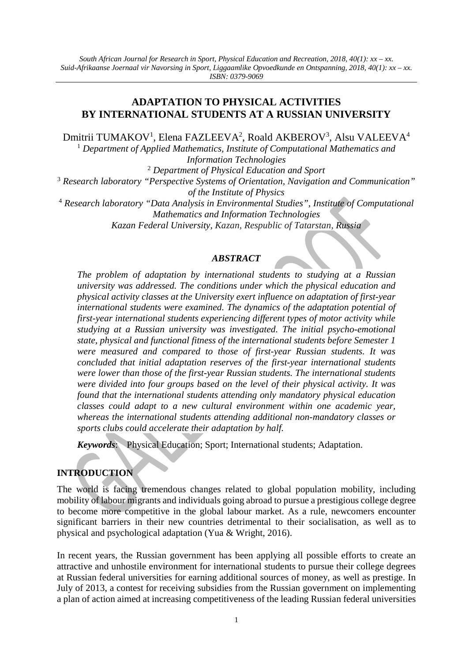# **ADAPTATION TO PHYSICAL ACTIVITIES BY INTERNATIONAL STUDENTS AT A RUSSIAN UNIVERSITY**

Dmitrii TUMAKOV<sup>1</sup>, Elena FAZLEEVA<sup>2</sup>, Roald AKBEROV<sup>3</sup>, Alsu VALEEVA<sup>4</sup>

<sup>1</sup> *Department of Applied Mathematics, Institute of Computational Mathematics and Information Technologies*

<sup>2</sup> *Department of Physical Education and Sport* <sup>3</sup> *Research laboratory "Perspective Systems of Orientation, Navigation and Communication" of the Institute of Physics*

<sup>4</sup> *Research laboratory "Data Analysis in Environmental Studies", Institute of Computational Mathematics and Information Technologies Kazan Federal University, Kazan, Respublic of Tatarstan, Russia*

### *ABSTRACT*

*The problem of adaptation by international students to studying at a Russian university was addressed. The conditions under which the physical education and physical activity classes at the University exert influence on adaptation of first-year international students were examined. The dynamics of the adaptation potential of first-year international students experiencing different types of motor activity while studying at a Russian university was investigated. The initial psycho-emotional state, physical and functional fitness of the international students before Semester 1 were measured and compared to those of first-year Russian students. It was concluded that initial adaptation reserves of the first-year international students were lower than those of the first-year Russian students. The international students were divided into four groups based on the level of their physical activity. It was found that the international students attending only mandatory physical education classes could adapt to a new cultural environment within one academic year, whereas the international students attending additional non-mandatory classes or sports clubs could accelerate their adaptation by half.*

*Keywords*: Physical Education; Sport; International students; Adaptation.

## **INTRODUCTION**

The world is facing tremendous changes related to global population mobility, including mobility of labour migrants and individuals going abroad to pursue a prestigious college degree to become more competitive in the global labour market. As a rule, newcomers encounter significant barriers in their new countries detrimental to their socialisation, as well as to physical and psychological adaptation (Yua & Wright, 2016).

In recent years, the Russian government has been applying all possible efforts to create an attractive and unhostile environment for international students to pursue their college degrees at Russian federal universities for earning additional sources of money, as well as prestige. In July of 2013, a contest for receiving subsidies from the Russian government on implementing a plan of action aimed at increasing competitiveness of the leading Russian federal universities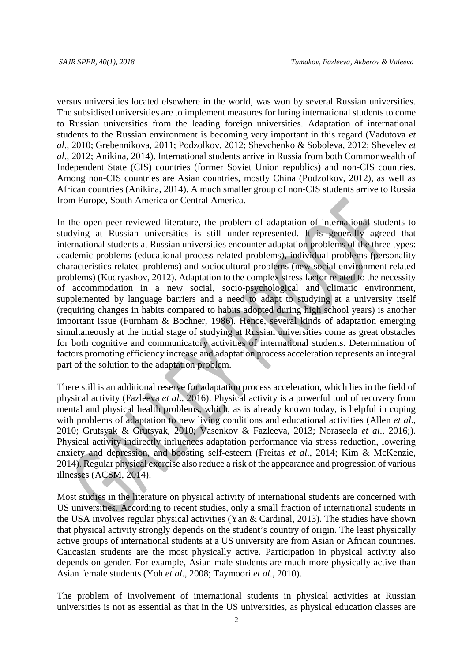versus universities located elsewhere in the world, was won by several Russian universities. The subsidised universities are to implement measures for luring international students to come to Russian universities from the leading foreign universities. Adaptation of international students to the Russian environment is becoming very important in this regard (Vadutova *et al*., 2010; Grebennikova, 2011; Podzolkov, 2012; Shevchenko & Soboleva, 2012; Shevelev *et al*., 2012; Anikina, 2014). International students arrive in Russia from both Commonwealth of Independent State (CIS) countries (former Soviet Union republics) and non-CIS countries. Among non-CIS countries are Asian countries, mostly China (Podzolkov, 2012), as well as African countries (Anikina, 2014). A much smaller group of non-CIS students arrive to Russia from Europe, South America or Central America.

In the open peer-reviewed literature, the problem of adaptation of international students to studying at Russian universities is still under-represented. It is generally agreed that international students at Russian universities encounter adaptation problems of the three types: academic problems (educational process related problems), individual problems (personality characteristics related problems) and sociocultural problems (new social environment related problems) (Kudryashov, 2012). Adaptation to the complex stress factor related to the necessity of accommodation in a new social, socio-psychological and climatic environment, supplemented by language barriers and a need to adapt to studying at a university itself (requiring changes in habits compared to habits adopted during high school years) is another important issue (Furnham & Bochner, 1986). Hence, several kinds of adaptation emerging simultaneously at the initial stage of studying at Russian universities come as great obstacles for both cognitive and communicatory activities of international students. Determination of factors promoting efficiency increase and adaptation process acceleration represents an integral part of the solution to the adaptation problem.

There still is an additional reserve for adaptation process acceleration, which lies in the field of physical activity (Fazleeva *et al*., 2016). Physical activity is a powerful tool of recovery from mental and physical health problems, which, as is already known today, is helpful in coping with problems of adaptation to new living conditions and educational activities (Allen *et al*., 2010; Grutsyak & Grutsyak, 2010; Vasenkov & Fazleeva, 2013; Noraseela *et al*., 2016;). Physical activity indirectly influences adaptation performance via stress reduction, lowering anxiety and depression, and boosting self-esteem (Freitas *et al*., 2014; Kim & McKenzie, 2014). Regular physical exercise also reduce a risk of the appearance and progression of various illnesses (ACSM, 2014).

Most studies in the literature on physical activity of international students are concerned with US universities. According to recent studies, only a small fraction of international students in the USA involves regular physical activities (Yan & Cardinal, 2013). The studies have shown that physical activity strongly depends on the student's country of origin. The least physically active groups of international students at a US university are from Asian or African countries. Caucasian students are the most physically active. Participation in physical activity also depends on gender. For example, Asian male students are much more physically active than Asian female students (Yoh *et al*., 2008; Taymoori *et al*., 2010).

The problem of involvement of international students in physical activities at Russian universities is not as essential as that in the US universities, as physical education classes are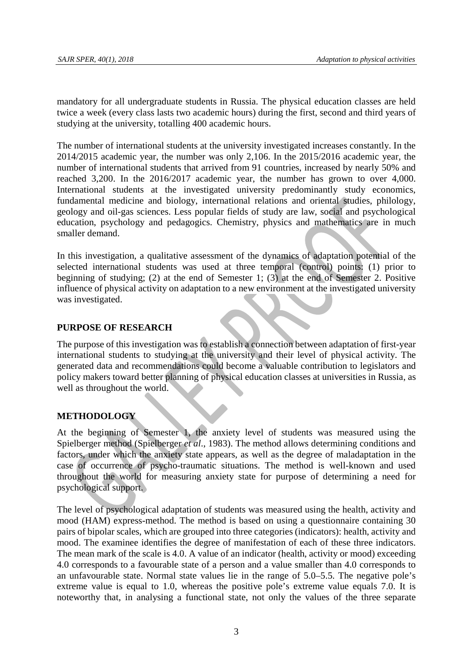mandatory for all undergraduate students in Russia. The physical education classes are held twice a week (every class lasts two academic hours) during the first, second and third years of studying at the university, totalling 400 academic hours.

The number of international students at the university investigated increases constantly. In the 2014/2015 academic year, the number was only 2,106. In the 2015/2016 academic year, the number of international students that arrived from 91 countries, increased by nearly 50% and reached 3,200. In the 2016/2017 academic year, the number has grown to over 4,000. International students at the investigated university predominantly study economics, fundamental medicine and biology, international relations and oriental studies, philology, geology and oil-gas sciences. Less popular fields of study are law, social and psychological education, psychology and pedagogics. Chemistry, physics and mathematics are in much smaller demand.

In this investigation, a qualitative assessment of the dynamics of adaptation potential of the selected international students was used at three temporal (control) points: (1) prior to beginning of studying; (2) at the end of Semester 1; (3) at the end of Semester 2. Positive influence of physical activity on adaptation to a new environment at the investigated university was investigated.

### **PURPOSE OF RESEARCH**

The purpose of this investigation was to establish a connection between adaptation of first-year international students to studying at the university and their level of physical activity. The generated data and recommendations could become a valuable contribution to legislators and policy makers toward better planning of physical education classes at universities in Russia, as well as throughout the world.

## **METHODOLOGY**

At the beginning of Semester 1, the anxiety level of students was measured using the Spielberger method (Spielberger *et al*., 1983). The method allows determining conditions and factors, under which the anxiety state appears, as well as the degree of maladaptation in the case of occurrence of psycho-traumatic situations. The method is well-known and used throughout the world for measuring anxiety state for purpose of determining a need for psychological support.

The level of psychological adaptation of students was measured using the health, activity and mood (HAM) express-method. The method is based on using a questionnaire containing 30 pairs of bipolar scales, which are grouped into three categories (indicators): health, activity and mood. The examinee identifies the degree of manifestation of each of these three indicators. The mean mark of the scale is 4.0. A value of an indicator (health, activity or mood) exceeding 4.0 corresponds to a favourable state of a person and a value smaller than 4.0 corresponds to an unfavourable state. Normal state values lie in the range of 5.0–5.5. The negative pole's extreme value is equal to 1.0, whereas the positive pole's extreme value equals 7.0. It is noteworthy that, in analysing a functional state, not only the values of the three separate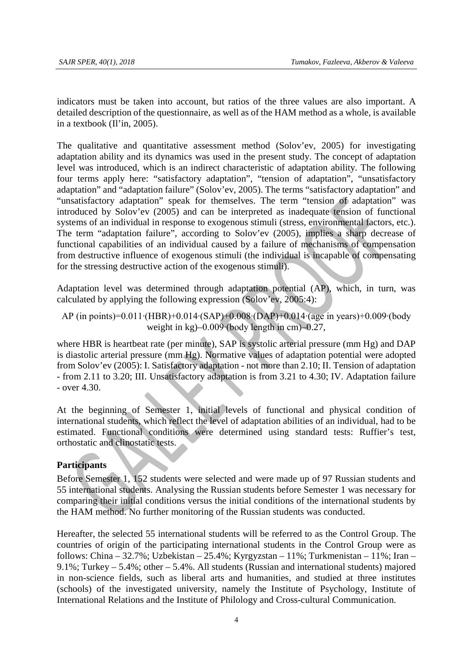indicators must be taken into account, but ratios of the three values are also important. A detailed description of the questionnaire, as well as of the HAM method as a whole, is available in a textbook (Il'in, 2005).

The qualitative and quantitative assessment method (Solov'ev, 2005) for investigating adaptation ability and its dynamics was used in the present study. The concept of adaptation level was introduced, which is an indirect characteristic of adaptation ability. The following four terms apply here: "satisfactory adaptation", "tension of adaptation", "unsatisfactory adaptation" and "adaptation failure" (Solov'ev, 2005). The terms "satisfactory adaptation" and "unsatisfactory adaptation" speak for themselves. The term "tension of adaptation" was introduced by Solov'ev (2005) and can be interpreted as inadequate tension of functional systems of an individual in response to exogenous stimuli (stress, environmental factors, etc.). The term "adaptation failure", according to Solov'ev (2005), implies a sharp decrease of functional capabilities of an individual caused by a failure of mechanisms of compensation from destructive influence of exogenous stimuli (the individual is incapable of compensating for the stressing destructive action of the exogenous stimuli).

Adaptation level was determined through adaptation potential (AP), which, in turn, was calculated by applying the following expression (Solov'ev, 2005:4):

AP (in points)=0.011∙(HBR)+0.014∙(SAP)+0.008∙(DAP)+0.014∙(age in years)+0.009∙(body weight in kg)–0.009∙(body length in cm)–0.27,

where HBR is heartbeat rate (per minute), SAP is systolic arterial pressure (mm Hg) and DAP is diastolic arterial pressure (mm Hg). Normative values of adaptation potential were adopted from Solov'ev (2005): I. Satisfactory adaptation - not more than 2.10; II. Tension of adaptation - from 2.11 to 3.20; III. Unsatisfactory adaptation is from 3.21 to 4.30; IV. Adaptation failure - over 4.30.

At the beginning of Semester 1, initial levels of functional and physical condition of international students, which reflect the level of adaptation abilities of an individual, had to be estimated. Functional conditions were determined using standard tests: Ruffier's test, orthostatic and clinostatic tests.

### **Participants**

Before Semester 1, 152 students were selected and were made up of 97 Russian students and 55 international students. Analysing the Russian students before Semester 1 was necessary for comparing their initial conditions versus the initial conditions of the international students by the HAM method. No further monitoring of the Russian students was conducted.

Hereafter, the selected 55 international students will be referred to as the Control Group. The countries of origin of the participating international students in the Control Group were as follows: China – 32.7%; Uzbekistan – 25.4%; Kyrgyzstan – 11%; Turkmenistan – 11%; Iran – 9.1%; Turkey – 5.4%; other – 5.4%. All students (Russian and international students) majored in non-science fields, such as liberal arts and humanities, and studied at three institutes (schools) of the investigated university, namely the Institute of Psychology, Institute of International Relations and the Institute of Philology and Cross-cultural Communication.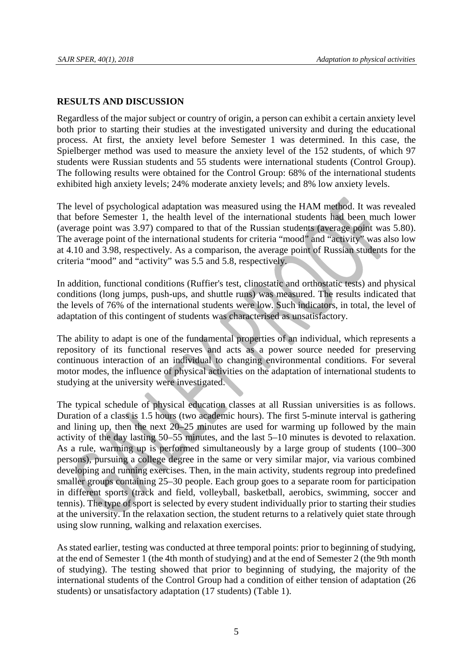#### **RESULTS AND DISCUSSION**

Regardless of the major subject or country of origin, a person can exhibit a certain anxiety level both prior to starting their studies at the investigated university and during the educational process. At first, the anxiety level before Semester 1 was determined. In this case, the Spielberger method was used to measure the anxiety level of the 152 students, of which 97 students were Russian students and 55 students were international students (Control Group). The following results were obtained for the Control Group: 68% of the international students exhibited high anxiety levels; 24% moderate anxiety levels; and 8% low anxiety levels.

The level of psychological adaptation was measured using the HAM method. It was revealed that before Semester 1, the health level of the international students had been much lower (average point was 3.97) compared to that of the Russian students (average point was 5.80). The average point of the international students for criteria "mood" and "activity" was also low at 4.10 and 3.98, respectively. As a comparison, the average point of Russian students for the criteria "mood" and "activity" was 5.5 and 5.8, respectively.

In addition, functional conditions (Ruffier's test, clinostatic and orthostatic tests) and physical conditions (long jumps, push-ups, and shuttle runs) was measured. The results indicated that the levels of 76% of the international students were low. Such indicators, in total, the level of adaptation of this contingent of students was characterised as unsatisfactory.

The ability to adapt is one of the fundamental properties of an individual, which represents a repository of its functional reserves and acts as a power source needed for preserving continuous interaction of an individual to changing environmental conditions. For several motor modes, the influence of physical activities on the adaptation of international students to studying at the university were investigated.

The typical schedule of physical education classes at all Russian universities is as follows. Duration of a class is 1.5 hours (two academic hours). The first 5-minute interval is gathering and lining up, then the next 20–25 minutes are used for warming up followed by the main activity of the day lasting 50–55 minutes, and the last 5–10 minutes is devoted to relaxation. As a rule, warming up is performed simultaneously by a large group of students (100–300 persons), pursuing a college degree in the same or very similar major, via various combined developing and running exercises. Then, in the main activity, students regroup into predefined smaller groups containing 25–30 people. Each group goes to a separate room for participation in different sports (track and field, volleyball, basketball, aerobics, swimming, soccer and tennis). The type of sport is selected by every student individually prior to starting their studies at the university. In the relaxation section, the student returns to a relatively quiet state through using slow running, walking and relaxation exercises.

As stated earlier, testing was conducted at three temporal points: prior to beginning of studying, at the end of Semester 1 (the 4th month of studying) and at the end of Semester 2 (the 9th month of studying). The testing showed that prior to beginning of studying, the majority of the international students of the Control Group had a condition of either tension of adaptation (26 students) or unsatisfactory adaptation (17 students) (Table 1).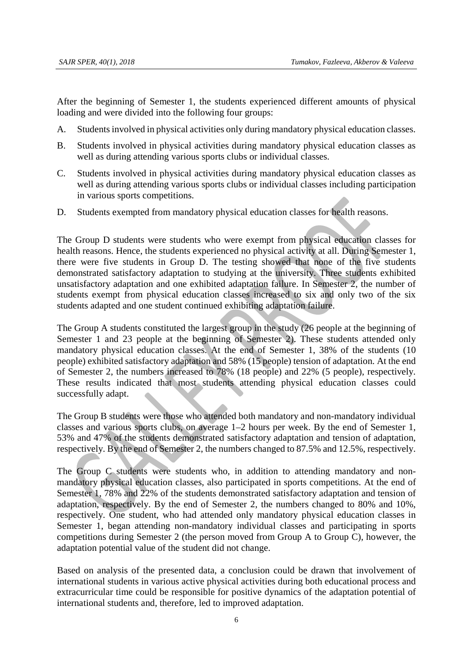After the beginning of Semester 1, the students experienced different amounts of physical loading and were divided into the following four groups:

- A. Students involved in physical activities only during mandatory physical education classes.
- B. Students involved in physical activities during mandatory physical education classes as well as during attending various sports clubs or individual classes.
- C. Students involved in physical activities during mandatory physical education classes as well as during attending various sports clubs or individual classes including participation in various sports competitions.
- D. Students exempted from mandatory physical education classes for health reasons.

The Group D students were students who were exempt from physical education classes for health reasons. Hence, the students experienced no physical activity at all. During Semester 1, there were five students in Group D. The testing showed that none of the five students demonstrated satisfactory adaptation to studying at the university. Three students exhibited unsatisfactory adaptation and one exhibited adaptation failure. In Semester 2, the number of students exempt from physical education classes increased to six and only two of the six students adapted and one student continued exhibiting adaptation failure.

The Group A students constituted the largest group in the study (26 people at the beginning of Semester 1 and 23 people at the beginning of Semester 2). These students attended only mandatory physical education classes. At the end of Semester 1, 38% of the students (10 people) exhibited satisfactory adaptation and 58% (15 people) tension of adaptation. At the end of Semester 2, the numbers increased to 78% (18 people) and 22% (5 people), respectively. These results indicated that most students attending physical education classes could successfully adapt.

The Group B students were those who attended both mandatory and non-mandatory individual classes and various sports clubs, on average 1–2 hours per week. By the end of Semester 1, 53% and 47% of the students demonstrated satisfactory adaptation and tension of adaptation, respectively. By the end of Semester 2, the numbers changed to 87.5% and 12.5%, respectively.

The Group C students were students who, in addition to attending mandatory and nonmandatory physical education classes, also participated in sports competitions. At the end of Semester 1, 78% and 22% of the students demonstrated satisfactory adaptation and tension of adaptation, respectively. By the end of Semester 2, the numbers changed to 80% and 10%, respectively. One student, who had attended only mandatory physical education classes in Semester 1, began attending non-mandatory individual classes and participating in sports competitions during Semester 2 (the person moved from Group A to Group C), however, the adaptation potential value of the student did not change.

Based on analysis of the presented data, a conclusion could be drawn that involvement of international students in various active physical activities during both educational process and extracurricular time could be responsible for positive dynamics of the adaptation potential of international students and, therefore, led to improved adaptation.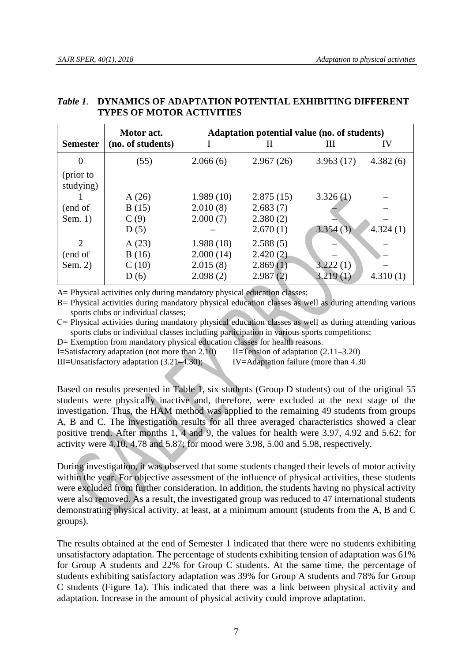|                 | Motor act.        | Adaptation potential value (no. of students) |           |           |          |
|-----------------|-------------------|----------------------------------------------|-----------|-----------|----------|
| <b>Semester</b> | (no. of students) |                                              | Н         | Ш         | IV       |
| $\Omega$        | (55)              | 2.066(6)                                     | 2.967(26) | 3.963(17) | 4.382(6) |
| (prior to       |                   |                                              |           |           |          |
| studying)       |                   |                                              |           |           |          |
|                 | A(26)             | 1.989(10)                                    | 2.875(15) | 3.326(1)  |          |
| (end of         | B(15)             | 2.010(8)                                     | 2.683(7)  |           |          |
| Sem. $1)$       | C(9)              | 2.000(7)                                     | 2.380(2)  |           |          |
|                 | D(5)              |                                              | 2.670(1)  | 3.354(3)  | 4.324(1) |
| 2               | A(23)             | 1.988(18)                                    | 2.588(5)  |           |          |
| (end of         | B(16)             | 2.000(14)                                    | 2.420(2)  |           |          |
| Sem. 2)         | C(10)             | 2.015(8)                                     | 2.869(1)  | 3.222(1)  |          |
|                 | D(6)              | 2.098(2)                                     | 2.987(2)  | 3.219(1)  | 4.310(1) |

#### *Table 1.* **DYNAMICS OF ADAPTATION POTENTIAL EXHIBITING DIFFERENT TYPES OF MOTOR ACTIVITIES**

A= Physical activities only during mandatory physical education classes:

B= Physical activities during mandatory physical education classes as well as during attending various sports clubs or individual classes;

С= Physical activities during mandatory physical education classes as well as during attending various sports clubs or individual classes including participation in various sports competitions;

D= Exemption from mandatory physical education classes for health reasons.

I=Satisfactory adaptation (not more than 2.10) II=Tension of adaptation (2.11–3.20)

III=Unsatisfactory adaptation (3.21–4.30); IV=Adaptation failure (more than 4.30

Based on results presented in Table 1, six students (Group D students) out of the original 55 students were physically inactive and, therefore, were excluded at the next stage of the investigation. Thus, the HAM method was applied to the remaining 49 students from groups A, B and C. The investigation results for all three averaged characteristics showed a clear positive trend. After months 1, 4 and 9, the values for health were 3.97, 4.92 and 5.62; for activity were 4.10, 4.78 and 5.87; for mood were 3.98, 5.00 and 5.98, respectively.

During investigation, it was observed that some students changed their levels of motor activity within the year. For objective assessment of the influence of physical activities, these students were excluded from further consideration. In addition, the students having no physical activity were also removed. As a result, the investigated group was reduced to 47 international students demonstrating physical activity, at least, at a minimum amount (students from the A, B and C groups).

The results obtained at the end of Semester 1 indicated that there were no students exhibiting unsatisfactory adaptation. The percentage of students exhibiting tension of adaptation was 61% for Group A students and 22% for Group C students. At the same time, the percentage of students exhibiting satisfactory adaptation was 39% for Group A students and 78% for Group C students (Figure 1a). This indicated that there was a link between physical activity and adaptation. Increase in the amount of physical activity could improve adaptation.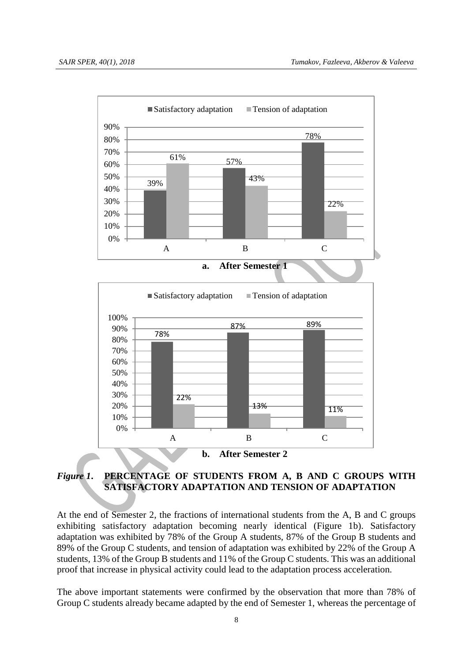



## *Figure 1***. PERCENTAGE OF STUDENTS FROM A, B AND C GROUPS WITH SATISFACTORY ADAPTATION AND TENSION OF ADAPTATION**

At the end of Semester 2, the fractions of international students from the A, B and C groups exhibiting satisfactory adaptation becoming nearly identical (Figure 1b). Satisfactory adaptation was exhibited by 78% of the Group A students, 87% of the Group B students and 89% of the Group C students, and tension of adaptation was exhibited by 22% of the Group A students, 13% of the Group B students and 11% of the Group C students. This was an additional proof that increase in physical activity could lead to the adaptation process acceleration.

The above important statements were confirmed by the observation that more than 78% of Group C students already became adapted by the end of Semester 1, whereas the percentage of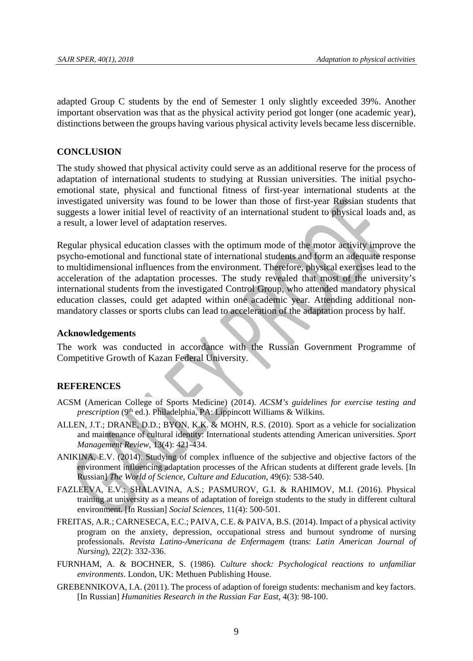adapted Group C students by the end of Semester 1 only slightly exceeded 39%. Another important observation was that as the physical activity period got longer (one academic year), distinctions between the groups having various physical activity levels became less discernible.

#### **CONCLUSION**

The study showed that physical activity could serve as an additional reserve for the process of adaptation of international students to studying at Russian universities. The initial psychoemotional state, physical and functional fitness of first-year international students at the investigated university was found to be lower than those of first-year Russian students that suggests a lower initial level of reactivity of an international student to physical loads and, as a result, a lower level of adaptation reserves.

Regular physical education classes with the optimum mode of the motor activity improve the psycho-emotional and functional state of international students and form an adequate response to multidimensional influences from the environment. Therefore, physical exercises lead to the acceleration of the adaptation processes. The study revealed that most of the university's international students from the investigated Control Group, who attended mandatory physical education classes, could get adapted within one academic year. Attending additional nonmandatory classes or sports clubs can lead to acceleration of the adaptation process by half.

#### **Acknowledgements**

The work was conducted in accordance with the Russian Government Programme of Competitive Growth of Kazan Federal University.

#### **REFERENCES**

- ACSM (American College of Sports Medicine) (2014). *ACSM's guidelines for exercise testing and prescription* (9<sup>th</sup> ed.). Philadelphia, PA: Lippincott Williams & Wilkins.
- ALLEN, J.T.; DRANE, D.D.; BYON, K.K. & MOHN, R.S. (2010). Sport as a vehicle for socialization and maintenance of cultural identity: International students attending American universities. *Sport Management Review,* 13(4): 421-434.
- ANIKINA, E.V. (2014). Studying of complex influence of the subjective and objective factors of the environment influencing adaptation processes of the African students at different grade levels. [In Russian] *The World of Science, Culture and Education*, 49(6): 538-540.
- FAZLEEVA, E.V.; SHALAVINA, A.S.; PASMUROV, G.I. & RAHIMOV, M.I. (2016). Physical training at university as a means of adaptation of foreign students to the study in different cultural environment. [In Russian] *Social Sciences,* 11(4): 500-501.
- FREITAS, A.R.; CARNESECA, E.C.; PAIVA, C.E. & PAIVA, B.S. (2014). Impact of a physical activity program on the anxiety, depression, occupational stress and burnout syndrome of nursing professionals. *Revista Latino-Americana de Enfermagem* (trans: *Latin American Journal of Nursing*), 22(2): 332-336.
- FURNHAM, A. & BOCHNER, S. (1986). *Culture shock: Psychological reactions to unfamiliar environments*. London, UK: Methuen Publishing House.
- GREBENNIKOVA, I.A. (2011). The process of adaption of foreign students: mechanism and key factors. [In Russian] *Humanities Research in the Russian Far East,* 4(3): 98-100.